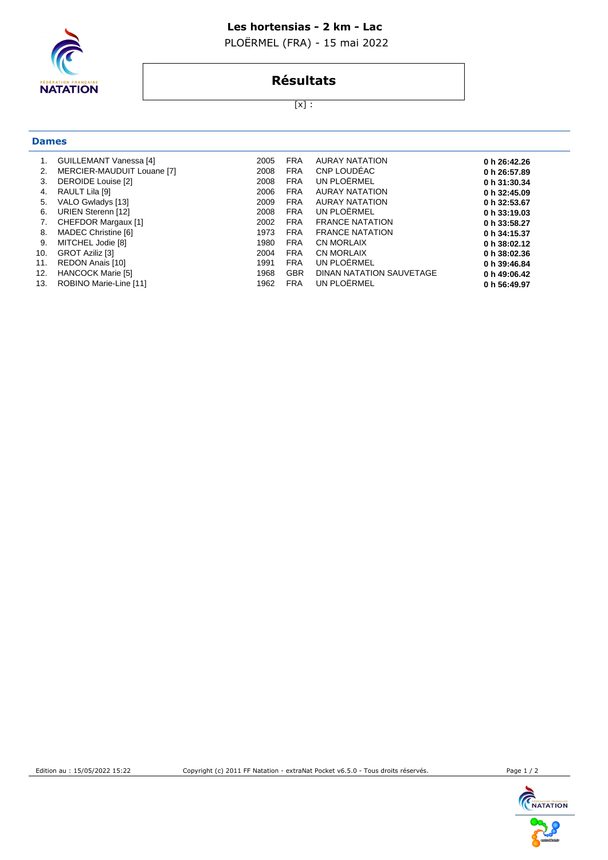### **Les hortensias - 2 km - Lac**

PLOËRMEL (FRA) - 15 mai 2022



**Dames**

# **Résultats**

[x] :

| 1.<br>2. | <b>GUILLEMANT Vanessa [4]</b><br>MERCIER-MAUDUIT Louane [7] | 2005<br>2008 | <b>FRA</b><br><b>FRA</b> | <b>AURAY NATATION</b><br>CNP LOUDEAC | 0 h 26:42.26<br>0 h 26:57.89 |
|----------|-------------------------------------------------------------|--------------|--------------------------|--------------------------------------|------------------------------|
| 3.       | DEROIDE Louise [2]                                          | 2008         | <b>FRA</b>               | UN PLOËRMEL                          | 0 h 31:30.34                 |
| 4.       | RAULT Lila [9]                                              | 2006         | <b>FRA</b>               | <b>AURAY NATATION</b>                | 0 h 32:45.09                 |
| 5.       | VALO Gwladys [13]                                           | 2009         | <b>FRA</b>               | <b>AURAY NATATION</b>                | 0 h 32:53.67                 |
| 6.       | URIEN Sterenn [12]                                          | 2008         | <b>FRA</b>               | UN PLOËRMEL                          | 0 h 33:19.03                 |
| 7.       | CHEFDOR Margaux [1]                                         | 2002         | <b>FRA</b>               | <b>FRANCE NATATION</b>               | 0 h 33:58.27                 |
| 8.       | MADEC Christine [6]                                         | 1973         | <b>FRA</b>               | <b>FRANCE NATATION</b>               | 0 h 34:15.37                 |
| 9.       | MITCHEL Jodie [8]                                           | 1980         | <b>FRA</b>               | <b>CN MORLAIX</b>                    | 0 h 38:02.12                 |
| 10.      | <b>GROT Aziliz [3]</b>                                      | 2004         | <b>FRA</b>               | <b>CN MORLAIX</b>                    | 0 h 38:02.36                 |
| 11.      | REDON Anais [10]                                            | 1991         | <b>FRA</b>               | UN PLOËRMEL                          | 0 h 39:46.84                 |
| 12.      | <b>HANCOCK Marie [5]</b>                                    | 1968         | <b>GBR</b>               | DINAN NATATION SAUVETAGE             | 0 h 49:06.42                 |
| 13.      | ROBINO Marie-Line [11]                                      | 1962         | <b>FRA</b>               | UN PLOËRMEL                          | 0 h 56:49.97                 |